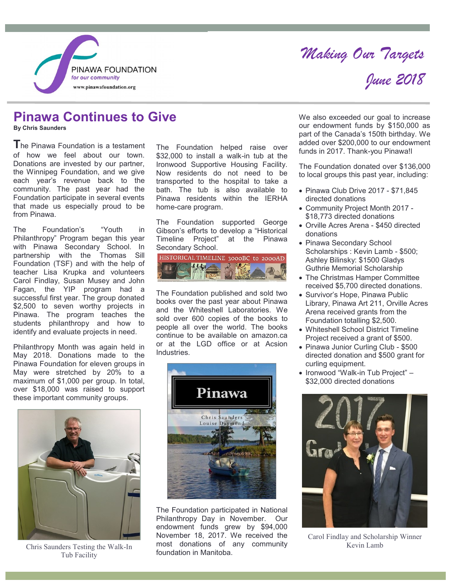

# *Making Our Targets June 2018*

## **Pinawa Continues to Give**

**By Chris Saunders**

**The Pinawa Foundation is a testament** of how we feel about our town. Donations are invested by our partner, the Winnipeg Foundation, and we give each year's revenue back to the community. The past year had the Foundation participate in several events that made us especially proud to be from Pinawa.

The Foundation's "Youth in Philanthropy" Program began this year with Pinawa Secondary School. In partnership with the Thomas Sill Foundation (TSF) and with the help of teacher Lisa Krupka and volunteers Carol Findlay, Susan Musey and John Fagan, the YIP program had a successful first year. The group donated \$2.500 to seven worthy projects in Pinawa. The program teaches the students philanthropy and how to identify and evaluate projects in need.

Philanthropy Month was again held in May 2018. Donations made to the Pinawa Foundation for eleven groups in May were stretched by 20% to a maximum of \$1,000 per group. In total, over \$18,000 was raised to support these important community groups.



Chris Saunders Testing the Walk-In Tub Facility

The Foundation helped raise over \$32,000 to install a walk-in tub at the Ironwood Supportive Housing Facility. Now residents do not need to be transported to the hospital to take a bath. The tub is also available to Pinawa residents within the IERHA home-care program.

The Foundation supported George Gibson's efforts to develop a "Historical<br>Timeline Project" at the Pinawa Timeline Project" Secondary School.



The Foundation published and sold two books over the past year about Pinawa and the Whiteshell Laboratories. We sold over 600 copies of the books to people all over the world. The books continue to be available on amazon.ca or at the LGD office or at Acsion Industries.



The Foundation participated in National Philanthropy Day in November. Our endowment funds grew by \$94,000 November 18, 2017. We received the most donations of any community foundation in Manitoba.

We also exceeded our goal to increase our endowment funds by \$150,000 as part of the Canada's 150th birthday. We added over \$200,000 to our endowment funds in 2017. Thank-you Pinawa!l

The Foundation donated over \$136,000 to local groups this past year, including:

- Pinawa Club Drive 2017 \$71,845 directed donations
- Community Project Month 2017 \$18,773 directed donations
- Orville Acres Arena \$450 directed donations
- Pinawa Secondary School Scholarships : Kevin Lamb - \$500; Ashley Bilinsky: \$1500 Gladys Guthrie Memorial Scholarship
- The Christmas Hamper Committee received \$5,700 directed donations.
- Survivor's Hope, Pinawa Public Library, Pinawa Art 211, Orville Acres Arena received grants from the Foundation totalling \$2,500.
- Whiteshell School District Timeline Project received a grant of \$500.
- Pinawa Junior Curling Club \$500 directed donation and \$500 grant for curling equipment.
- Ironwood "Walk-in Tub Project" -\$32,000 directed donations



Carol Findlay and Scholarship Winner Kevin Lamb